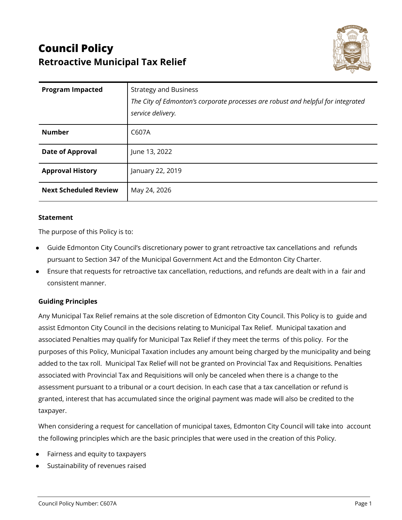# **Council Policy Retroactive Municipal Tax Relief**



| <b>Program Impacted</b>      | <b>Strategy and Business</b><br>The City of Edmonton's corporate processes are robust and helpful for integrated<br>service delivery. |
|------------------------------|---------------------------------------------------------------------------------------------------------------------------------------|
| <b>Number</b>                | C607A                                                                                                                                 |
| <b>Date of Approval</b>      | June 13, 2022                                                                                                                         |
| <b>Approval History</b>      | January 22, 2019                                                                                                                      |
| <b>Next Scheduled Review</b> | May 24, 2026                                                                                                                          |

#### **Statement**

The purpose of this Policy is to:

- Guide Edmonton City Council's discretionary power to grant retroactive tax cancellations and refunds pursuant to Section 347 of the Municipal Government Act and the Edmonton City Charter.
- Ensure that requests for retroactive tax cancellation, reductions, and refunds are dealt with in a fair and consistent manner.

## **Guiding Principles**

Any Municipal Tax Relief remains at the sole discretion of Edmonton City Council. This Policy is to guide and assist Edmonton City Council in the decisions relating to Municipal Tax Relief. Municipal taxation and associated Penalties may qualify for Municipal Tax Relief if they meet the terms of this policy. For the purposes of this Policy, Municipal Taxation includes any amount being charged by the municipality and being added to the tax roll. Municipal Tax Relief will not be granted on Provincial Tax and Requisitions. Penalties associated with Provincial Tax and Requisitions will only be canceled when there is a change to the assessment pursuant to a tribunal or a court decision. In each case that a tax cancellation or refund is granted, interest that has accumulated since the original payment was made will also be credited to the taxpayer.

When considering a request for cancellation of municipal taxes, Edmonton City Council will take into account the following principles which are the basic principles that were used in the creation of this Policy.

- Fairness and equity to taxpayers
- Sustainability of revenues raised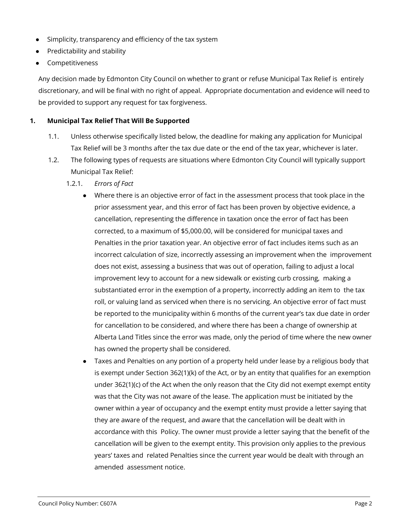- Simplicity, transparency and efficiency of the tax system
- Predictability and stability
- **Competitiveness**

Any decision made by Edmonton City Council on whether to grant or refuse Municipal Tax Relief is entirely discretionary, and will be final with no right of appeal. Appropriate documentation and evidence will need to be provided to support any request for tax forgiveness.

## **1. Municipal Tax Relief That Will Be Supported**

- 1.1. Unless otherwise specifically listed below, the deadline for making any application for Municipal Tax Relief will be 3 months after the tax due date or the end of the tax year, whichever is later.
- 1.2. The following types of requests are situations where Edmonton City Council will typically support Municipal Tax Relief:
	- 1.2.1. *Errors of Fact*
		- Where there is an objective error of fact in the assessment process that took place in the prior assessment year, and this error of fact has been proven by objective evidence, a cancellation, representing the difference in taxation once the error of fact has been corrected, to a maximum of \$5,000.00, will be considered for municipal taxes and Penalties in the prior taxation year. An objective error of fact includes items such as an incorrect calculation of size, incorrectly assessing an improvement when the improvement does not exist, assessing a business that was out of operation, failing to adjust a local improvement levy to account for a new sidewalk or existing curb crossing, making a substantiated error in the exemption of a property, incorrectly adding an item to the tax roll, or valuing land as serviced when there is no servicing. An objective error of fact must be reported to the municipality within 6 months of the current year's tax due date in order for cancellation to be considered, and where there has been a change of ownership at Alberta Land Titles since the error was made, only the period of time where the new owner has owned the property shall be considered.
		- Taxes and Penalties on any portion of a property held under lease by a religious body that is exempt under Section 362(1)(k) of the Act, or by an entity that qualifies for an exemption under 362(1)(c) of the Act when the only reason that the City did not exempt exempt entity was that the City was not aware of the lease. The application must be initiated by the owner within a year of occupancy and the exempt entity must provide a letter saying that they are aware of the request, and aware that the cancellation will be dealt with in accordance with this Policy. The owner must provide a letter saying that the benefit of the cancellation will be given to the exempt entity. This provision only applies to the previous years' taxes and related Penalties since the current year would be dealt with through an amended assessment notice.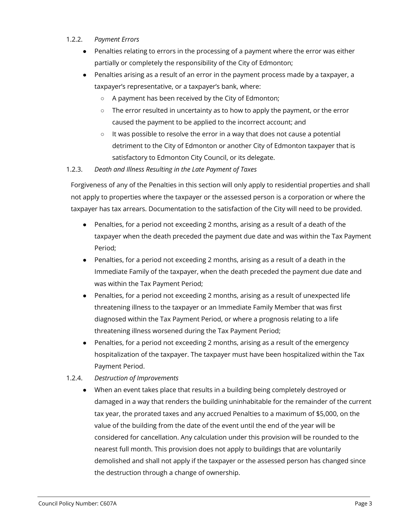## 1.2.2. *Payment Errors*

- Penalties relating to errors in the processing of a payment where the error was either partially or completely the responsibility of the City of Edmonton;
- Penalties arising as a result of an error in the payment process made by a taxpayer, a taxpayer's representative, or a taxpayer's bank, where:
	- A payment has been received by the City of Edmonton;
	- $\circ$  The error resulted in uncertainty as to how to apply the payment, or the error caused the payment to be applied to the incorrect account; and
	- It was possible to resolve the error in a way that does not cause a potential detriment to the City of Edmonton or another City of Edmonton taxpayer that is satisfactory to Edmonton City Council, or its delegate.

## 1.2.3. *Death and Illness Resulting in the Late Payment of Taxes*

Forgiveness of any of the Penalties in this section will only apply to residential properties and shall not apply to properties where the taxpayer or the assessed person is a corporation or where the taxpayer has tax arrears. Documentation to the satisfaction of the City will need to be provided.

- Penalties, for a period not exceeding 2 months, arising as a result of a death of the taxpayer when the death preceded the payment due date and was within the Tax Payment Period;
- Penalties, for a period not exceeding 2 months, arising as a result of a death in the Immediate Family of the taxpayer, when the death preceded the payment due date and was within the Tax Payment Period;
- Penalties, for a period not exceeding 2 months, arising as a result of unexpected life threatening illness to the taxpayer or an Immediate Family Member that was first diagnosed within the Tax Payment Period, or where a prognosis relating to a life threatening illness worsened during the Tax Payment Period;
- Penalties, for a period not exceeding 2 months, arising as a result of the emergency hospitalization of the taxpayer. The taxpayer must have been hospitalized within the Tax Payment Period.
- 1.2.4. *Destruction of Improvements*
	- When an event takes place that results in a building being completely destroyed or damaged in a way that renders the building uninhabitable for the remainder of the current tax year, the prorated taxes and any accrued Penalties to a maximum of \$5,000, on the value of the building from the date of the event until the end of the year will be considered for cancellation. Any calculation under this provision will be rounded to the nearest full month. This provision does not apply to buildings that are voluntarily demolished and shall not apply if the taxpayer or the assessed person has changed since the destruction through a change of ownership.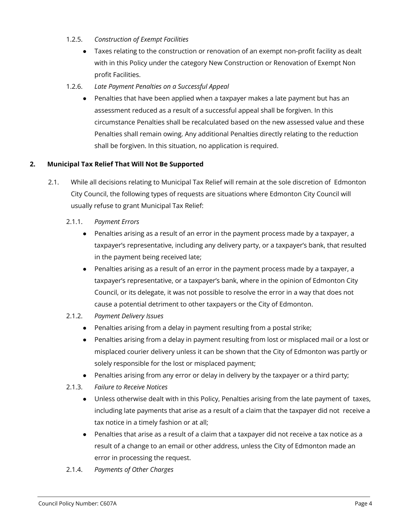- 1.2.5. *Construction of Exempt Facilities*
	- Taxes relating to the construction or renovation of an exempt non-profit facility as dealt with in this Policy under the category New Construction or Renovation of Exempt Non profit Facilities.
- 1.2.6. *Late Payment Penalties on a Successful Appeal*
	- Penalties that have been applied when a taxpayer makes a late payment but has an assessment reduced as a result of a successful appeal shall be forgiven. In this circumstance Penalties shall be recalculated based on the new assessed value and these Penalties shall remain owing. Any additional Penalties directly relating to the reduction shall be forgiven. In this situation, no application is required.

## **2. Municipal Tax Relief That Will Not Be Supported**

- 2.1. While all decisions relating to Municipal Tax Relief will remain at the sole discretion of Edmonton City Council, the following types of requests are situations where Edmonton City Council will usually refuse to grant Municipal Tax Relief:
	- 2.1.1. *Payment Errors*
		- Penalties arising as a result of an error in the payment process made by a taxpayer, a taxpayer's representative, including any delivery party, or a taxpayer's bank, that resulted in the payment being received late;
		- Penalties arising as a result of an error in the payment process made by a taxpayer, a taxpayer's representative, or a taxpayer's bank, where in the opinion of Edmonton City Council, or its delegate, it was not possible to resolve the error in a way that does not cause a potential detriment to other taxpayers or the City of Edmonton.
	- 2.1.2. *Payment Delivery Issues*
		- Penalties arising from a delay in payment resulting from a postal strike;
		- Penalties arising from a delay in payment resulting from lost or misplaced mail or a lost or misplaced courier delivery unless it can be shown that the City of Edmonton was partly or solely responsible for the lost or misplaced payment;
		- Penalties arising from any error or delay in delivery by the taxpayer or a third party;
	- 2.1.3. *Failure to Receive Notices*
		- Unless otherwise dealt with in this Policy, Penalties arising from the late payment of taxes, including late payments that arise as a result of a claim that the taxpayer did not receive a tax notice in a timely fashion or at all;
		- Penalties that arise as a result of a claim that a taxpayer did not receive a tax notice as a result of a change to an email or other address, unless the City of Edmonton made an error in processing the request.
	- 2.1.4. *Payments of Other Charges*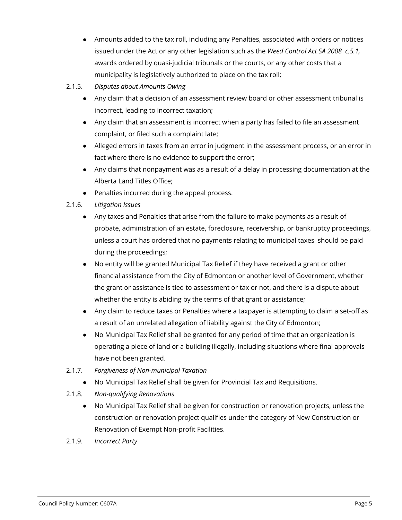- Amounts added to the tax roll, including any Penalties, associated with orders or notices issued under the Act or any other legislation such as the *Weed Control Act SA 2008 c.5.1,* awards ordered by quasi-judicial tribunals or the courts, or any other costs that a municipality is legislatively authorized to place on the tax roll;
- 2.1.5. *Disputes about Amounts Owing*
	- Any claim that a decision of an assessment review board or other assessment tribunal is incorrect, leading to incorrect taxation;
	- Any claim that an assessment is incorrect when a party has failed to file an assessment complaint, or filed such a complaint late;
	- Alleged errors in taxes from an error in judgment in the assessment process, or an error in fact where there is no evidence to support the error;
	- Any claims that nonpayment was as a result of a delay in processing documentation at the Alberta Land Titles Office;
	- Penalties incurred during the appeal process.

## 2.1.6. *Litigation Issues*

- Any taxes and Penalties that arise from the failure to make payments as a result of probate, administration of an estate, foreclosure, receivership, or bankruptcy proceedings, unless a court has ordered that no payments relating to municipal taxes should be paid during the proceedings;
- No entity will be granted Municipal Tax Relief if they have received a grant or other financial assistance from the City of Edmonton or another level of Government, whether the grant or assistance is tied to assessment or tax or not, and there is a dispute about whether the entity is abiding by the terms of that grant or assistance;
- Any claim to reduce taxes or Penalties where a taxpayer is attempting to claim a set-off as a result of an unrelated allegation of liability against the City of Edmonton;
- No Municipal Tax Relief shall be granted for any period of time that an organization is operating a piece of land or a building illegally, including situations where final approvals have not been granted.
- 2.1.7. *Forgiveness of Non-municipal Taxation*
	- No Municipal Tax Relief shall be given for Provincial Tax and Requisitions.
- 2.1.8. *Non-qualifying Renovations*
	- No Municipal Tax Relief shall be given for construction or renovation projects, unless the construction or renovation project qualifies under the category of New Construction or Renovation of Exempt Non-profit Facilities.
- 2.1.9. *Incorrect Party*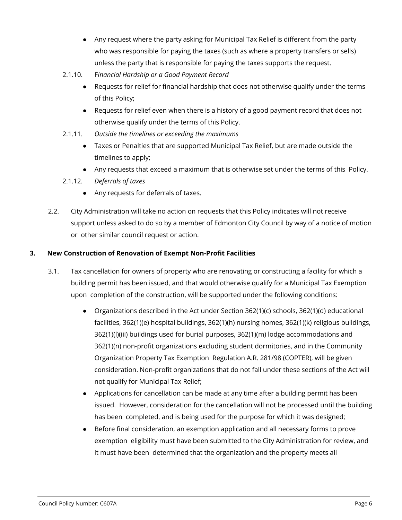- Any request where the party asking for Municipal Tax Relief is different from the party who was responsible for paying the taxes (such as where a property transfers or sells) unless the party that is responsible for paying the taxes supports the request.
- 2.1.10. F*inancial Hardship or a Good Payment Record*
	- Requests for relief for financial hardship that does not otherwise qualify under the terms of this Policy;
	- Requests for relief even when there is a history of a good payment record that does not otherwise qualify under the terms of this Policy.
- 2.1.11. *Outside the timelines or exceeding the maximums*
	- Taxes or Penalties that are supported Municipal Tax Relief, but are made outside the timelines to apply;
	- Any requests that exceed a maximum that is otherwise set under the terms of this Policy.
- 2.1.12. *Deferrals of taxes*
	- Any requests for deferrals of taxes.
- 2.2. City Administration will take no action on requests that this Policy indicates will not receive support unless asked to do so by a member of Edmonton City Council by way of a notice of motion or other similar council request or action.

## **3. New Construction of Renovation of Exempt Non-Profit Facilities**

- 3.1. Tax cancellation for owners of property who are renovating or constructing a facility for which a building permit has been issued, and that would otherwise qualify for a Municipal Tax Exemption upon completion of the construction, will be supported under the following conditions:
	- Organizations described in the Act under Section 362(1)(c) schools, 362(1)(d) educational facilities, 362(1)(e) hospital buildings, 362(1)(h) nursing homes, 362(1)(k) religious buildings, 362(1)(l)(iii) buildings used for burial purposes, 362(1)(m) lodge accommodations and 362(1)(n) non-profit organizations excluding student dormitories, and in the Community Organization Property Tax Exemption Regulation A.R. 281/98 (COPTER), will be given consideration. Non-profit organizations that do not fall under these sections of the Act will not qualify for Municipal Tax Relief;
	- Applications for cancellation can be made at any time after a building permit has been issued. However, consideration for the cancellation will not be processed until the building has been completed, and is being used for the purpose for which it was designed;
	- Before final consideration, an exemption application and all necessary forms to prove exemption eligibility must have been submitted to the City Administration for review, and it must have been determined that the organization and the property meets all